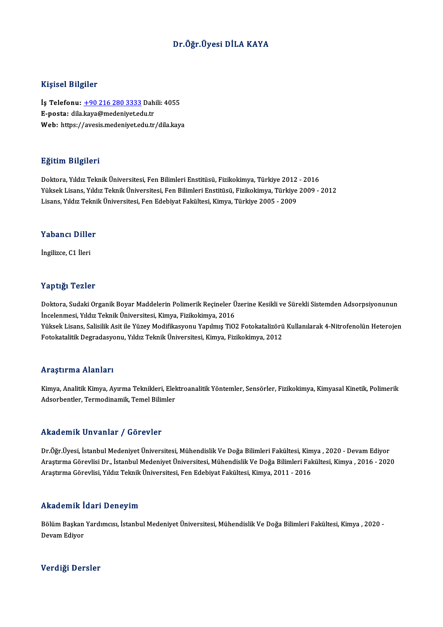### Dr.Öğr.ÜyesiDİLA KAYA

### Kişisel Bilgiler

Kişisel Bilgiler<br>İş Telefonu: <u>+90 216 280 3333</u> Dahili: 4055<br>E nasta: dila kava@madaniyet.edu.tr 11131001 D1151101<br>İş Telefonu: <u>+90 216 280 3333</u> Dah<br>E-posta: dila[.kaya@medeniyet.ed](tel:+90 216 280 3333)u.tr<br>Web: https://ayesis.medeniyet.edu.tr İş Telefonu: <u>+90 216 280 3333</u> Dahili: 4055<br>E-posta: dila.kaya@medeniyet.edu.tr<br>Web: https://avesis.medeniyet.edu.tr/dila.kaya Web: https://avesis.medeniyet.edu.tr/dila.kaya<br>Eğitim Bilgileri

Doktora, Yıldız Teknik Üniversitesi, Fen Bilimleri Enstitüsü, Fizikokimya, Türkiye 2012 - 2016 23.<br>1997 - Doktora, Yıldız Teknik Üniversitesi, Fen Bilimleri Enstitüsü, Fizikokimya, Türkiye 2012 - 2016<br>Yüksek Lisans, Yıldız Teknik Üniversitesi, Fen Bilimleri Enstitüsü, Fizikokimya, Türkiye 2009 - 2012<br>Lisans, Yıldız Doktora, Yıldız Teknik Üniversitesi, Fen Bilimleri Enstitüsü, Fizikokimya, Türkiye 2012<br>Yüksek Lisans, Yıldız Teknik Üniversitesi, Fen Bilimleri Enstitüsü, Fizikokimya, Türkiye<br>Lisans, Yıldız Teknik Üniversitesi, Fen Edebi Lisans, Yıldız Teknik Üniversitesi, Fen Edebiyat Fakültesi, Kimya, Türkiye 2005 - 2009<br>Yabancı Diller

İngilizce,C1 İleri

### Yaptığı Tezler

Yaptığı Tezler<br>Doktora, Sudaki Organik Boyar Maddelerin Polimerik Reçineler Üzerine Kesikli ve Sürekli Sistemden Adsorpsiyonunun<br>İncelenmesi, Yıldız Telmik Üniversitesi, Kimya, Fizikokimya, 2016 1 up 15.<br>1 Ooktora, Sudaki Organik Boyar Maddelerin Polimerik Reçineler Ü<br>İncelenmesi, Yıldız Teknik Üniversitesi, Kimya, Fizikokimya, 2016<br>Yüksek Lisans, Selisilik Asit ile Yüzey Medifikasyonu Yanılmıs TiO. Doktora, Sudaki Organik Boyar Maddelerin Polimerik Reçineler Üzerine Kesikli ve Sürekli Sistemden Adsorpsiyonunun<br>İncelenmesi, Yıldız Teknik Üniversitesi, Kimya, Fizikokimya, 2016<br>Yüksek Lisans, Salisilik Asit ile Yüzey Mo İncelenmesi, Yıldız Teknik Üniversitesi, Kimya, Fizikokimya, 2016<br>Yüksek Lisans, Salisilik Asit ile Yüzey Modifikasyonu Yapılmış TiO2 Fotokatalizörü<br>Fotokatalitik Degradasyonu, Yıldız Teknik Üniversitesi, Kimya, Fizikokimy Fotokatalitik Degradasyonu, Yıldız Teknik Üniversitesi, Kimya, Fizikokimya, 2012<br>Araştırma Alanları

Araştırma Alanları<br>Kimya, Analitik Kimya, Ayırma Teknikleri, Elektroanalitik Yöntemler, Sensörler, Fizikokimya, Kimyasal Kinetik, Polimerik<br>Adearbantlar, Tarmadinamik, Tamal Bilimlar Adsorbentler, Adamark<br>Kimya, Analitik Kimya, Ayırma Teknikleri, Elel<br>Adsorbentler, Termodinamik, Temel Bilimler Adsorbentler, Termodinamik, Temel Bilimler<br>Akademik Unvanlar / Görevler

Akademik Unvanlar / Görevler<br>Dr.Öğr.Üyesi, İstanbul Medeniyet Üniversitesi, Mühendislik Ve Doğa Bilimleri Fakültesi, Kimya , 2020 - Devam Ediyor<br>Arastırma Cörevlisi Dr. İstanbul Medeniyet Üniversitesi, Mühendislik Ve Doğa Araştırma Görevlisi Dr., İstanbul Medeniyet Üniversitesi, Mühendislik Ve Doğa Bilimleri Fakültesi, Kimya , 2016 - 2020<br>Araştırma Görevlisi, Yıldız Teknik Üniversitesi, Fen Edebiyat Fakültesi, Kimya, 2011 - 2016 Dr.Öğr.Üyesi, İstanbul Medeniyet Üniversitesi, Mühendislik Ve Doğa Bilimleri Fakültesi, Kim<br>Araştırma Görevlisi Dr., İstanbul Medeniyet Üniversitesi, Mühendislik Ve Doğa Bilimleri Fal<br>Araştırma Görevlisi, Yıldız Teknik Üni

### Akademik İdari Deneyim

**Akademik İdari Deneyim**<br>Bölüm Başkan Yardımcısı, İstanbul Medeniyet Üniversitesi, Mühendislik Ve Doğa Bilimleri Fakültesi, Kimya , 2020 -<br>Devam Ediyar rrraacrmm<br>Bölüm Başkan<br>Devam Ediyor Devam Ediyor<br>Verdiği Dersler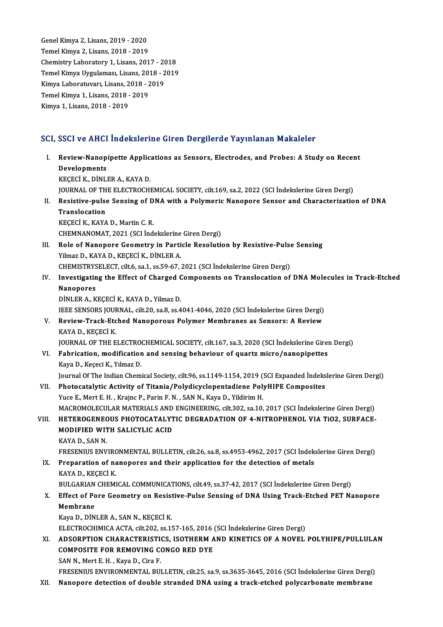GenelKimya 2,Lisans,2019 -2020 Temel Kimya 2, Lisans, 2018 - 2019 Chemistry Laboratory 1, Lisans, 2017 - 2018 Temel Kimya 2, Lisans, 2018 - 2019<br>Chemistry Laboratory 1, Lisans, 2017 - 2018<br>Temel Kimya Uygulaması, Lisans, 2018 - 2019<br>Kimya Laboratuyan, Lisans, 2018 - 2019 Chemistry Laboratory 1, Lisans, 2017 - 20<br>Temel Kimya Uygulaması, Lisans, 2018 - 2<br>Kimya Laboratuvarı, Lisans, 2018 - 2019<br>Temel Kimya 1, Lisans, 2019 - 2019 Temel Kimya Uygulaması, Lisans, 201<br>Kimya Laboratuvarı, Lisans, 2018 - 2<br>Temel Kimya 1, Lisans, 2018 - 2019<br>Kimya 1, Lisans, 2019, 2019 Kimya Laboratuvarı, Lisans, 2018 - 2019<br>Temel Kimya 1, Lisans, 2018 - 2019<br>Kimya 1, Lisans, 2018 - 2019

# kimya 1, Lisans, 2018 - 2019<br>SCI, SSCI ve AHCI İndekslerine Giren Dergilerde Yayınlanan Makaleler

CI, SSCI ve AHCI İndekslerine Giren Dergilerde Yayınlanan Makaleler<br>I. Review-Nanopipette Applications as Sensors, Electrodes, and Probes: A Study on Recent<br>Pevelenments BBB1 ve IIII<br>Review-Nanop<br>Developments<br>*VECEC*LY DINLI Review-Nanopipette Applic:<br>Developments<br>KEÇECİ K., DİNLER A., KAYA D.<br>JOUPMAL OF THE ELECTROCH! Developments<br>KEÇECİ K., DİNLER A., KAYA D.<br>JOURNAL OF THE ELECTROCHEMICAL SOCIETY, cilt.169, sa.2, 2022 (SCI İndekslerine Giren Dergi)<br>Registive pulse Sonsing of DNA with a Bolymenis Naponone Sonson and Chanatonizatio KEÇECİ K., DİNLER A., KAYA D.<br>JOURNAL OF THE ELECTROCHEMICAL SOCIETY, cilt.169, sa.2, 2022 (SCI İndekslerine Giren Dergi)<br>II. Resistive-pulse Sensing of DNA with a Polymeric Nanopore Sensor and Characterization of DNA<br> JOURNAL OF TH<br>Resistive-pulse<br>Translocation<br>EFFFCLE E EAVA Resistive-pulse Sensing of D<br>Translocation<br>KEÇECİ K., KAYA D., Martin C. R.<br>CHEMNANOMAT 2021 (SCLİnd Translocation<br>KEÇECİ K., KAYA D., Martin C. R.<br>CHEMNANOMAT, 2021 (SCI İndekslerine Giren Dergi)<br>Pela ef Nanonana Caamatuv in Partisla Basaluti KEÇECİ K., KAYA D., Martin C. R.<br>CHEMNANOMAT, 2021 (SCI İndekslerine Giren Dergi)<br>III. Role of Nanopore Geometry in Particle Resolution by Resistive-Pulse Sensing<br>Vilmar D. KAYA D. KECECİ K. DİNLER A CHEMNANOMAT, 2021 (SCI İndekslerine<br>Role of Nanopore Geometry in Parti<br>Yilmaz D., KAYA D., KEÇECİ K., DİNLER A.<br>CHEMISTRYSELECT, GİLÉ S2 1, SS 50, 67 Role of Nanopore Geometry in Particle Resolution by Resistive-Pulse<br>Tilmaz D., KAYA D., KEÇECİ K., DİNLER A.<br>CHEMISTRYSELECT, cilt.6, sa.1, ss.59-67, 2021 (SCI İndekslerine Giren Dergi)<br>Investigating the Effect of Charged Yilmaz D., KAYA D., KEÇECİ K., DİNLER A.<br>CHEMISTRYSELECT, cilt.6, sa.1, ss.59-67, 2021 (SCI İndekslerine Giren Dergi)<br>IV. Investigating the Effect of Charged Components on Translocation of DNA Molecules in Track-Etched CHEMISTRYS<br>Investigatin<br>Nanopores<br>Di<sup>ni ED A K</sup> Investigating the Effect of Charged C<br>Nanopores<br>DİNLER A., KEÇECİ K., KAYA D., Yilmaz D.<br>IEEE SENSOPS JOUPNAL .cilt 20, 82.9, 85.4 Nanopores<br>DİNLER A., KEÇECİ K., KAYA D., Yilmaz D.<br>IEEE SENSORS JOURNAL, cilt.20, sa.8, ss.4041-4046, 2020 (SCI İndekslerine Giren Dergi)<br>Boyiew Track Etched Nanoporove Polymar Mambranes as Sansors: A Boyiew DİNLER A., KEÇECİ K., KAYA D., Yilmaz D.<br>IEEE SENSORS JOURNAL, cilt.20, sa.8, ss.4041-4046, 2020 (SCI İndekslerine Giren Dergi)<br>V. Review-Track-Etched Nanoporous Polymer Membranes as Sensors: A Review<br>KAYA D., KECECİ K. **IEEE SENSORS JOUF<br>Review-Track-Etc<br>KAYA D., KEÇECİ K.<br>JOUPNAL OF THE E** JOURNAL OF THE ELECTROCHEMICAL SOCIETY, cilt.167, sa.3, 2020 (SCI İndekslerine Giren Dergi) KAYA D., KEÇECİ K.<br>JOURNAL OF THE ELECTROCHEMICAL SOCIETY, cilt.167, sa.3, 2020 (SCI İndekslerine Giren<br>VI. Fabrication, modification and sensing behaviour of quartz micro/nanopipettes<br>Kaya D. Kasasi K. Yılmaz D. JOURNAL OF THE ELECTRO<br>Fabrication, modification<br>Kaya D., Keçeci K., Yılmaz D.<br>Journal Of The Indian Cham Fabrication, modification and sensing behaviour of quartz micro/nanopipettes<br>Kaya D., Keçeci K., Yılmaz D.<br>Journal Of The Indian Chemical Society, cilt.96, ss.1149-1154, 2019 (SCI Expanded İndekslerine Giren Dergi)<br>Phataga Kaya D., Keçeci K., Yılmaz D.<br>Journal Of The Indian Chemical Society, cilt.96, ss.1149-1154, 2019 (SCI Expanded Indeks<br>VII. Photocatalytic Activity of Titania/Polydicyclopentadiene PolyHIPE Composites<br>Yuce E., Mert E. H. , Journal Of The Indian Chemical Society, cilt.96, ss.1149-1154, 2019 (<br>Photocatalytic Activity of Titania/Polydicyclopentadiene Pol<br>Yuce E., Mert E. H. , Krajnc P., Parin F. N. , SAN N., Kaya D., Yildirim H.<br>MACROMOLECULAR MACROMOLECULARMATERIALSANDENGINEERING, cilt.302, sa.10,2017 (SCI İndekslerineGirenDergi) Yuce E., Mert E. H. , Krajnc P., Parin F. N. , SAN N., Kaya D., Yildirim H.<br>MACROMOLECULAR MATERIALS AND ENGINEERING, cilt.302, sa.10, 2017 (SCI İndekslerine Giren Dergi)<br>VIII. HETEROGENEOUS PHOTOCATALYTIC DEGRADATION OF 4 MACROMOLECULAR MATERIALS AND<br>HETEROGENEOUS PHOTOCATALYT<br>MODIFIED WITH SALICYLIC ACID<br>KAVA D. SAN N H<mark>ETEROGENEC</mark><br>MODIFIED WIT<br>KAYA D., SAN N.<br>EDESENIUS ENV MODIFIED WITH SALICYLIC ACID<br>KAYA D., SAN N.<br>FRESENIUS ENVIRONMENTAL BULLETIN, cilt.26, sa.8, ss.4953-4962, 2017 (SCI İndekslerine Giren Dergi)<br>Prenaration of nanonores and their application for the detection of metals KAYA D., SAN N.<br>FRESENIUS ENVIRONMENTAL BULLETIN, cilt.26, sa.8, ss.4953-4962, 2017 (SCI İndek<br>IX. Preparation of nanopores and their application for the detection of metals<br>KAYA D. KECECI K. FRESENIUS ENVIRO<br>Preparation of na<br>KAYA D., KEÇECİ K.<br>PIII CARIAN CHEMI Preparation of nanopores and their application for the detection of metals<br>KAYA D., KEÇECİ K.<br>BULGARIAN CHEMICAL COMMUNICATIONS, cilt.49, ss.37-42, 2017 (SCI İndekslerine Giren Dergi)<br>Effect of Pere Coemetry on Pesistiye P KAYA D., KEÇECİ K.<br>BULGARIAN CHEMICAL COMMUNICATIONS, cilt.49, ss.37-42, 2017 (SCI İndekslerine Giren Dergi)<br>X. Effect of Pore Geometry on Resistive-Pulse Sensing of DNA Using Track-Etched PET Nanopore<br>Membrane BULGARIAN<br>Effect of Po<br>Membrane<br>Kava Da D<sup>iN</sup> Kaya D., DİNLER A., SAN N., KEÇECİ K. Membrane<br>Kaya D., DİNLER A., SAN N., KEÇECİ K.<br>ELECTROCHIMICA ACTA, cilt.202, ss.157-165, 2016 (SCI İndekslerine Giren Dergi)<br>ADSORRTION CHARACTERISTICS, ISOTHERM AND KINETICS OF A NOVEL XI. ADSORPTION CHARACTERISTICS, ISOTHERMAND KINETICS OF A NOVEL POLYHIPE/PULLULAN ELECTROCHIMICA ACTA, cilt.202, ss.157-165, 2016<br>ADSORPTION CHARACTERISTICS, ISOTHERM A<br>COMPOSITE FOR REMOVING CONGO RED DYE COMPOSITE FOR REMOVING CONGO RED DYE<br>SAN N., Mert E. H., Kaya D., Cira F. FRESENIUS ENVIRONMENTAL BULLETIN, cilt.25, sa.9, ss.3635-3645, 2016 (SCI İndekslerine Giren Dergi) XII. Nanopore detection of double stranded DNA using a track-etched polycarbonate membrane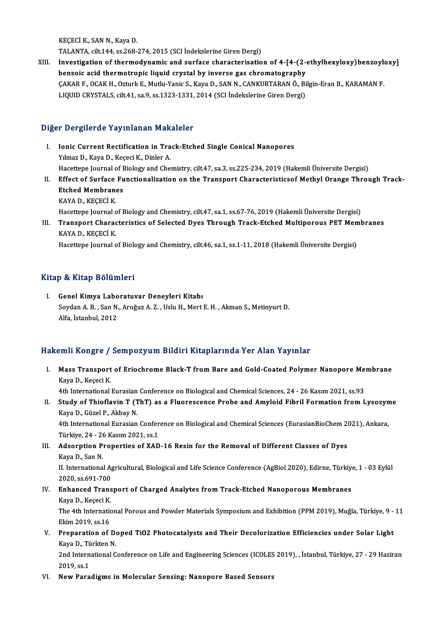KEÇECİ K., SAN N., Kaya D.

TALANTA, cilt.144, ss.268-274,2015 (SCI İndekslerineGirenDergi)

XIII. Investigation of thermodynamic and surface characterisation of 4-[4-(2-ethylhexyloxy)benzoyloxy] benzoic acid thermotropic liquid crystal by inverse gas chromatography Investigation of thermodynamic and surface characterisation of 4-[4-(2-ethylhexyloxy)benzoyle<br>benzoic acid thermotropic liquid crystal by inverse gas chromatography<br>ÇAKAR F., OCAK H., Ozturk E., Mutlu-Yanic S., Kaya D., SA benzoic acid thermotropic liquid crystal by inverse gas chromatography<br>ÇAKAR F., OCAK H., Ozturk E., Mutlu-Yanic S., Kaya D., SAN N., CANKURTARAN Ö., Bi<br>LIQUID CRYSTALS, cilt.41, sa.9, ss.1323-1331, 2014 (SCI İndekslerine LIQUID CRYSTALS, cilt.41, sa.9, ss.1323-1331, 2014 (SCI İndekslerine Giren Dergi)<br>Diğer Dergilerde Yayınlanan Makaleler

- I. Ionic Current Rectification in Track-Etched Single Conical Nanopores Yılmaz D., Kaya D., Keçeci K., Dinler A. Ionic Current Rectification in Track-Etched Single Conical Nanopores<br>Yılmaz D., Kaya D., Keçeci K., Dinler A.<br>Hacettepe Journal of Biology and Chemistry, cilt.47, sa.3, ss.225-234, 2019 (Hakemli Üniversite Dergisi)<br>Effect Yılmaz D., Kaya D., Keçeci K., Dinler A.<br>Hacettepe Journal of Biology and Chemistry, cilt.47, sa.3, ss.225-234, 2019 (Hakemli Üniversite Dergisi)<br>II. Effect of Surface Functionalization on the Transport Characteristicsof M
- Hacettepe Journal of <mark>E</mark><br>Effect of Surface Fu<br>Etched Membranes<br>KAVA D. KECEC<sup>T</sup> K Effect of Surface<br>Etched Membran<br>KAYA D., KEÇECİ K.<br>Hasattana Jaumal a Etched Membranes<br>KAYA D., KEÇECİ K.<br>Hacettepe Journal of Biology and Chemistry, cilt.47, sa.1, ss.67-76, 2019 (Hakemli Üniversite Dergisi) KAYA D., KEÇECİ K.<br>Hacettepe Journal of Biology and Chemistry, cilt.47, sa.1, ss.67-76, 2019 (Hakemli Üniversite Dergisi)<br>III. Transport Characteristics of Selected Dyes Through Track-Etched Multiporous PET Membranes<br>K
- Hacettepe Journal o<br><mark>Transport Charac</mark><br>KAYA D., KEÇECİ K.<br>Hasettana Jaumal a Transport Characteristics of Selected Dyes Through Track-Etched Multiporous PET Men<br>KAYA D., KEÇECİ K.<br>Hacettepe Journal of Biology and Chemistry, cilt.46, sa.1, ss.1-11, 2018 (Hakemli Üniversite Dergisi)

Hacettepe Journal of Biology and Chemistry, cilt.46, sa.1, ss.1-11, 2018 (Hakemli Üniversite Dergisi)<br>Kitap & Kitap Bölümleri

Itap & Kitap Bölümleri<br>I. Genel Kimya Laboratuvar Deneyleri Kitabı<br>Sovdan A.B. San N. Arağuz A.Z. Helu H. Mert Soydan A. B. , San N., Aroğuz A. Z. , Uslu H., Mert E. H. , Akman S., Metinyurt D.<br>Alfa. İstanbul. 2012 Genel Kimya Labo<br>Soydan A. B. , San N.<br>Alfa, İstanbul, 2012

### Hakemli Kongre / Sempozyum Bildiri Kitaplarında Yer Alan Yayınlar

akemli Kongre / Sempozyum Bildiri Kitaplarında Yer Alan Yayınlar<br>I. Mass Transport of Eriochrome Black-T from Bare and Gold-Coated Polymer Nanopore Membrane Ann Rongre<br>Mass Transport<br>Kaya D., Keçeci K.<br>Ath International Mass Transport of Eriochrome Black-T from Bare and Gold-Coated Polymer Nanopore Me<br>Kaya D., Keçeci K.<br>4th International Eurasian Conference on Biological and Chemical Sciences, 24 - 26 Kasım 2021, ss.93<br>Study of Thioflavin

Kaya D., Keçeci K.<br>4th International Eurasian Conference on Biological and Chemical Sciences, 24 - 26 Kasım 2021, ss.93<br>II. Study of Thioflavin T (ThT) as a Fluorescence Probe and Amyloid Fibril Formation from Lysozyme<br>K 4th International Eurasian<br>Study of Thioflavin T (T<br>Kaya D., Güzel P., Akbay N.<br>4th International Eurasian Study of Thioflavin T (ThT) as a Fluorescence Probe and Amyloid Fibril Formation from Lysozyn<br>Kaya D., Güzel P., Akbay N.<br>4th International Eurasian Conference on Biological and Chemical Sciences (EurasianBioChem 2021), An

Kaya D., Güzel P., Akbay N.<br>4th International Eurasian Conference on Biological and Chemical Sciences (EurasianBioChem 2021), Ankara,<br>Türkiye, 24 - 26 Kasım 2021, ss.1 4th International Eurasian Conference on Biological and Chemical Sciences (EurasianBioChem 20<br>Türkiye, 24 - 26 Kasım 2021, ss.1<br>III. Adsorption Properties of XAD-16 Resin for the Removal of Different Classes of Dyes<br>Kaya D

Türkiye, 24 - 26<br>Adsorption P:<br>Kaya D., San N.<br>H. International Adsorption Properties of XAD-16 Resin for the Removal of Different Classes of Dyes<br>Kaya D., San N.<br>II. International Agricultural, Biological and Life Science Conference (AgBiol 2020), Edirne, Türkiye, 1 - 03 Eylül<br>2020.es

Kaya D., San N.<br>II. International Ag<br>2020, ss.691-700<br>Enhanced Trans

## 2020, ss.691-700<br>IV. Enhanced Transport of Charged Analytes from Track-Etched Nanoporous Membranes 2020, ss.691-700<br>Enhanced Trans<br>Kaya D., Keçeci K.<br>The 4th Internatie

The 4th International Porous and Powder Materials Symposium and Exhibition (PPM 2019), Muğla, Türkiye, 9 - 11<br>Ekim 2019. ss.16 Kaya D., Keçeci K.<br>The 4th Internation<br>Ekim 2019, ss.16<br>Preparation of The 4th International Porous and Powder Materials Symposium and Exhibition (PPM 2019), Muğla, Türkiye, 9 -<br>Ekim 2019, ss.16<br>V. Preparation of Doped TiO2 Photocatalysts and Their Decolorization Efficiencies under Solar Ligh

## Ekim 2019, ss.16<br>Preparation of De<br>Kaya D., Türkten N.<br>2nd International C Preparation of Doped TiO2 Photocatalysts and Their Decolorization Efficiencies under Solar Light<br>Kaya D., Türkten N.<br>2nd International Conference on Life and Engineering Sciences (ICOLES 2019), , İstanbul, Türkiye, 27 - 29

Kaya D., Tü<br>2nd Intern<br>2019, ss.1<br>Now Para 2nd International Conference on Life and Engineering Sciences (ICOLES<br>2019, ss.1<br>VI. New Paradigms in Molecular Sensing: Nanopore Based Sensors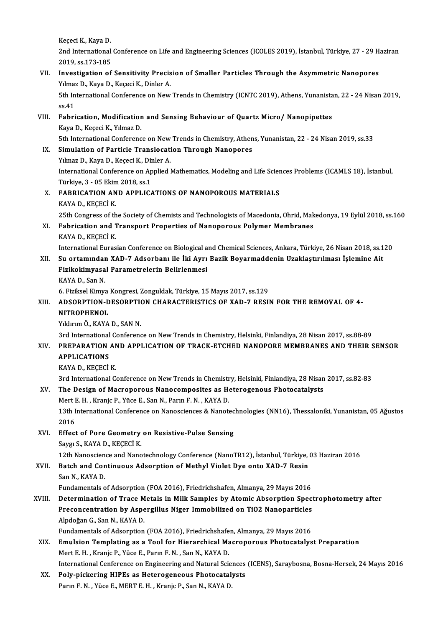Keçeci K., Kaya D.

Keçeci K., Kaya D.<br>2nd International Conference on Life and Engineering Sciences (ICOLES 2019), İstanbul, Türkiye, 27 - 29 Haziran<br>2019, SS 172, 195 Keçeci K., Kaya D.<br>2nd International<br>2019, ss.173-185<br>Investigation of 2nd International Conference on Life and Engineering Sciences (ICOLES 2019), İstanbul, Türkiye, 27 - 29 H<br>2019, ss.173-185<br>VII. Investigation of Sensitivity Precision of Smaller Particles Through the Asymmetric Nanopores<br>V

## 2019, ss.173-185<br>VII. Investigation of Sensitivity Precision of Smaller Particles Through the Asymmetric Nanopores Yılmaz D., Kaya D., Keçeci K., Dinler A.

5th International Conference on New Trends in Chemistry (ICNTC 2019), Athens, Yunanistan, 22 - 24 Nisan 2019, ss.41 5th International Conference on New Trends in Chemistry (ICNTC 2019), Athens, Yunanista<br>ss.41<br>VIII. Fabrication, Modification and Sensing Behaviour of Quartz Micro/ Nanopipettes<br>Kaya D. Kagasi K. Yumar D.

## ss.41<br><mark>Fabrication, Modificatior</mark><br>Kaya D., Keçeci K., Yılmaz D.<br>Eth International Conferenc Fabrication, Modification and Sensing Behaviour of Quartz Micro/ Nanopipettes<br>Kaya D., Keçeci K., Yılmaz D.<br>5th International Conference on New Trends in Chemistry, Athens, Yunanistan, 22 - 24 Nisan 2019, ss.33<br>Simulation Kaya D., Keçeci K., Yılmaz D.<br>5th International Conference on New Trends in Chemistry, Athen<br>IX. Simulation of Particle Translocation Through Nanopores<br>Yılmaz D., Kaya D., Keçeci K., Dinler A.

5th International Conference on New<br>Simulation of Particle Translocati<br>Yılmaz D., Kaya D., Keçeci K., Dinler A.<br>International Conference on Annlied I Simulation of Particle Translocation Through Nanopores<br>Yılmaz D., Kaya D., Keçeci K., Dinler A.<br>International Conference on Applied Mathematics, Modeling and Life Sciences Problems (ICAMLS 18), İstanbul,<br>Türkiye 3, .05 Eki Yılmaz D., Kaya D., Keçeci K., Dir<br>International Conference on Ap<br>Türkiye, 3 - 05 Ekim 2018, ss.1<br>EARBICATION AND ABBLIC International Conference on Applied Mathematics, Modeling and Life Scien<br>Türkiye, 3 - 05 Ekim 2018, ss.1<br>X. FABRICATION AND APPLICATIONS OF NANOPOROUS MATERIALS<br>KAYA D. KECECI K

Türkiye, 3 - 05 Ekim<br>FABRICATION AN<br>KAYA D., KEÇECİ K.<br>25th Congress of th KAYA D., KEÇECİ K.<br>25th Congress of the Society of Chemists and Technologists of Macedonia, Ohrid, Makedonya, 19 Eylül 2018, ss.160 KAYA D., KEÇECİ K.<br>25th Congress of the Society of Chemists and Technologists of Macedonia, Ohrid, Mak<br>XI. Fabrication and Transport Properties of Nanoporous Polymer Membranes<br>KAYA D. KECECİ K.

25th Congress of th<br>Fabrication and 1<br>KAYA D., KEÇECİ K.<br>International Euros Fabrication and Transport Properties of Nanoporous Polymer Membranes<br>KAYA D., KEÇECİ K.<br>International Eurasian Conference on Biological and Chemical Sciences, Ankara, Türkiye, 26 Nisan 2018, ss.120<br>Su ortamından XAD 7 Adee

## KAYA D., KEÇECİ K.<br>International Eurasian Conference on Biological and Chemical Sciences, Ankara, Türkiye, 26 Nisan 2018, ss.1<br>XII. Su ortamından XAD-7 Adsorbanı ile İki Ayrı Bazik Boyarmaddenin Uzaklaştırılması İşlemi International Eurasian Conference on Biological a<br>Su ortamından XAD-7 Adsorbanı ile İki Ayrı<br>Fizikokimyasal Parametrelerin Belirlenmesi<br>KAVA D. San N Su ortamında<mark>ı</mark><br>Fizikokimyasa<br>KAYA D., San N.<br>6. Eizikool Kimya Fizikokimyasal Parametrelerin Belirlenmesi<br>KAYA D., San N.<br>6. Fiziksel Kimya Kongresi, Zonguldak, Türkiye, 15 Mayıs 2017, ss.129<br>ADSORRIJON DESORRIJON CHARACTERISTICS OF YAD 7 RESU KAYA D., San N.<br>6. Fiziksel Kimya Kongresi, Zonguldak, Türkiye, 15 Mayıs 2017, ss.129<br>XIII. ADSORPTION-DESORPTION CHARACTERISTICS OF XAD-7 RESIN FOR THE REMOVAL OF 4-<br>NITROPHENOL

## 6. Fiziksel Kimya<br>ADSORPTION-D<br>NITROPHENOL<br><sup>Vilduum Ö.</sup> KAVA ADSORPTION-DESORPTION<br>NITROPHENOL<br>Yıldırım Ö., KAYA D., SAN N.<br><sup>2nd</sup> International Conferenc

**NITROPHENOL<br>3rd International Conference on New Trends in Chemistry, Helsinki, Finlandiya, 28 Nisan 2017, ss.88-89<br>3rd International Conference on New Trends in Chemistry, Helsinki, Finlandiya, 28 Nisan 2017, ss.88-89** 

## Yıldırım Ö., KAYA D., SAN N.<br>3rd International Conference on New Trends in Chemistry, Helsinki, Finlandiya, 28 Nisan 2017, ss.88-89<br>3RIV. — PREPARATION AND APPLICATION OF TRACK-ETCHED NANOPORE MEMBRANES AND THEIR SENSOR<br>4P 3rd International<br>PREPARATION<br>APPLICATIONS PREPARATION AN<br>APPLICATIONS<br>KAYA D., KEÇECİ K.<br>2rd International G APPLICATIONS<br>KAYA D., KEÇECİ K.<br>3rd International Conference on New Trends in Chemistry, Helsinki, Finlandiya, 28 Nisan 2017, ss.82-83<br>The Design of Magnepereus Naposempesites as Haterogeneus Photogetalysts

## KAYA D., KEÇECİ K.<br>3rd International Conference on New Trends in Chemistry, Helsinki, Finlandiya, 28 Nisan<br>XV. The Design of Macroporous Nanocomposites as Heterogenous Photocatalysts<br>Mart E. H., Kapia B. Vüqa E. San N. Bar 3rd International Conference on New Trends in Chemistr<br>The Design of Macroporous Nanocomposites as Ho<br>Mert E. H. , Kranjc P., Yüce E., San N., Parın F. N. , KAYA D.<br>12th International Conference on Nanoscionese & Nanota

The Design of Macroporous Nanocomposites as Heterogenous Photocatalysts<br>Mert E. H. , Kranjc P., Yüce E., San N., Parın F. N. , KAYA D.<br>13th International Conference on Nanosciences & Nanotechnologies (NN16), Thessaloniki, Mert I<br>13th I<br>2016<br>Effect 13th International Conference on Nanosciences & Nanotec<br>2016<br>XVI. Effect of Pore Geometry on Resistive-Pulse Sensing<br>Savgu S. KAVA D. KECECLK

2016<br><mark>Effect of Pore Geometry</mark><br>Saygı S., KAYA D., KEÇECİ K.<br>12th Nanossianse and Nano Effect of Pore Geometry on Resistive-Pulse Sensing<br>Saygı S., KAYA D., KEÇECİ K.<br>12th Nanoscience and Nanotechnology Conference (NanoTR12), İstanbul, Türkiye, 03 Haziran 2016<br>Pateh and Continuous Adsorption of Methul Vielet

## Saygı S., KAYA D., KEÇECİ K.<br>12th Nanoscience and Nanotechnology Conference (NanoTR12), İstanbul, Türkiye,<br>XVII. Batch and Continuous Adsorption of Methyl Violet Dye onto XAD-7 Resin<br>San N., KAYA D. 12th Nanoscien<br>Batch and Con<br>San N., KAYA D.<br>Eundamentals e Batch and Continuous Adsorption of Methyl Violet Dye onto XAD-7 Resin<br>San N., KAYA D.<br>Fundamentals of Adsorption (FOA 2016), Friedrichshafen, Almanya, 29 Mayıs 2016<br>Determination of Trase Metals in Milk Samples by Atemis A

### XVIII. Determination of Trace Metals in Milk Samples by Atomic Absorption Spectrophotometry after Fundamentals of Adsorption (FOA 2016), Friedrichshafen, Almanya, 29 Mayıs 2016<br>Determination of Trace Metals in Milk Samples by Atomic Absorption Spec<br>Preconcentration by Aspergillus Niger Immobilized on TiO2 Nanoparticles **Determination of Trace M<br>Preconcentration by Aspe<br>Alpdoğan G., San N., KAYA D.**<br>Eundomentels of Adserntion Preconcentration by Aspergillus Niger Immobilized on TiO2 Nanoparticles<br>Alpdoğan G., San N., KAYA D.<br>Fundamentals of Adsorption (FOA 2016), Friedrichshafen, Almanya, 29 Mayıs 2016<br>Emulgion Templeting as a Tool for Hierarch Alpdoğan G., San N., KAYA D.<br>Fundamentals of Adsorption (FOA 2016), Friedrichshafen, Almanya, 29 Mayıs 2016<br>XIX. Emulsion Templating as a Tool for Hierarchical Macroporous Photocatalyst Preparation

- Mert E.H., Kranjc P., Yüce E., Parın F.N., San N., KAYA D. International Cenference on Engineering and Natural Sciences (ICENS), Saraybosna, Bosna-Hersek, 24 Mayıs 2016
- Mert E. H., Kranjc P., Yüce E., Parin F. N., San N., KAYA D.<br>International Cenference on Engineering and Natural Sciences<br>XX. Poly-pickering HIPEs as Heterogeneous Photocatalysts<br>Porum E. N., Vüce E. MERT E. H., Kranja B. International Cenference on Engineering and Natural Scie<br>Po<mark>ly-pickering HIPEs as Heterogeneous Photocatal</mark><br>Parın F. N. , Yüce E., MERT E. H. , Kranjc P., San N., KAYA D.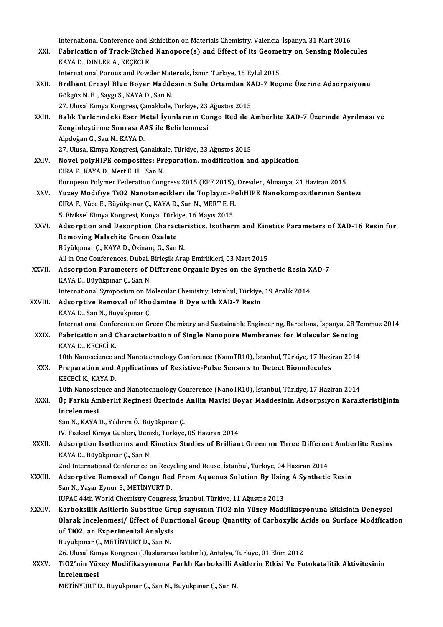International Conference and Exhibition on Materials Chemistry, Valencia, İspanya, 31 Mart 2016<br>Febrisation of Track Etched Naponenc(s) and Effect of its Coometry on Sonsing Males International Conference and Exhibition on Materials Chemistry, Valencia, İspanya, 31 Mart 2016<br>XXI. Fabrication of Track-Etched Nanopore(s) and Effect of its Geometry on Sensing Molecules<br>XAVA D. DİNLER A. KECECİ K International Conference and E<br>Fabrication of Track-Etched<br>KAYA D., DİNLER A., KEÇECİ K.<br>International Bereus and Beys Fabrication of Track-Etched Nanopore(s) and Effect of its Geome<br>KAYA D., DİNLER A., KEÇECİ K.<br>International Porous and Powder Materials, İzmir, Türkiye, 15 Eylül 2015<br>Prilliant Cresul Blue Boyar Maddesinin Sulu Ortamdan YA KAYA D., DİNLER A., KEÇECİ K.<br>International Porous and Powder Materials, İzmir, Türkiye, 15 Eylül 2015<br>XXII. Brilliant Cresyl Blue Boyar Maddesinin Sulu Ortamdan XAD-7 Reçine Üzerine Adsorpsiyonu International Porous and Powder Materials, İzmir, Türkiye, 15 Eylül 2015<br>Brilliant Cresyl Blue Boyar Maddesinin Sulu Ortamdan XAD-7 Reg<br>Gökgöz N. E. , Saygı S., KAYA D., San N. Brilliant Cresyl Blue Boyar Maddesinin Sulu Ortamdan X*I*<br>Gökgöz N. E. , Saygı S., KAYA D., San N.<br>27. Ulusal Kimya Kongresi, Çanakkale, Türkiye, 23 Ağustos 2015<br>Palık Türkerindeki Eser Metal İyanlarının Gange Ped ile ( XXIII. Balık Türlerindeki Eser Metal İyonlarının Congo Red ile Amberlite XAD-7 Üzerinde Ayrılması ve<br>Zenginlestirme Sonrası AAS ile Belirlenmesi 27. Ulusal Kimya Kongresi, Çanakkale, Türkiye, 23 Ağustos 2015 AlpdoğanG.,SanN.,KAYAD. Zenginleştirme Sonrası AAS ile Belirlenmesi<br>Alpdoğan G., San N., KAYA D.<br>27. Ulusal Kimya Kongresi, Çanakkale, Türkiye, 23 Ağustos 2015<br>Novel polyHIBE sompositosı Proporation, modifisation ar XXIV. Novel polyHIPE composites: Preparation, modification and application<br>CIRA F., KAYA D., Mert E. H., San N. 27. Ulusal Kimya Kongresi, Çanakka<br>Novel polyHIPE composites: Pr<br>CIRA F., KAYA D., Mert E. H. , San N.<br>Euronean Polymor Ecdenation Com EuropeanPolymer FederationCongress2015 (EPF 2015),Dresden,Almanya,21Haziran2015 CIRA F., KAYA D., Mert E. H. , San N.<br>European Polymer Federation Congress 2015 (EPF 2015), Dresden, Almanya, 21 Haziran 2015<br>XXV. Yüzey Modifiye TiO2 Nanotanecikleri ile Toplayıcı-PoliHIPE Nanokompozitlerinin Sentezi European Polymer Federation Congress 2015 (EPF 2015),<br>Yüzey Modifiye TiO2 Nanotanecikleri ile Toplayıcı-Po<br>CIRA F., Yüce E., Büyükpınar Ç., KAYA D., San N., MERT E. H.<br>E. Firikool Kimua Kongresi Konya Türkiye 16 Mayıc 2015 Yüzey Modifiye TiO2 Nanotanecikleri ile Toplayıcı-P<br>CIRA F., Yüce E., Büyükpınar Ç., KAYA D., San N., MERT E. H.<br>5. Fiziksel Kimya Kongresi, Konya, Türkiye, 16 Mayıs 2015<br>Adeanntian and Desermtian Chanesteristise, Jeetheru CIRA F., Yüce E., Büyükpınar Ç., KAYA D., San N., MERT E. H.<br>5. Fiziksel Kimya Kongresi, Konya, Türkiye, 16 Mayıs 2015<br>XXVI. Adsorption and Desorption Characteristics, Isotherm and Kinetics Parameters of XAD-16 Resin f 5. Fiziksel Kimya Kongresi, Konya, Türkiye, 16 Mayıs 2015 Büyükpınar Ç.,KAYAD.,ÖzinançG.,SanN. All in One Conferences, Dubai, Birleşik Arap Emirlikleri, 03 Mart 2015 XXVII. Adsorption Parameters of Different Organic Dyes on the Synthetic Resin XAD-7 KAYAD.,Büyükpınar Ç.,SanN. Adsorption Parameters of Different Organic Dyes on the Synthetic Resin X<br>KAYA D., Büyükpınar Ç., San N.<br>International Symposium on Molecular Chemistry, İstanbul, Türkiye, 19 Aralık 2014<br>Adsorptive Bemeval of Phodemine B. D KAYA D., Büyükpınar Ç., San N.<br>International Symposium on Molecular Chemistry, İstanbul, Türkiye,<br>XXVIII. Adsorptive Removal of Rhodamine B Dye with XAD-7 Resin<br>XAVA D. San N. Büyükpunar C. International Symposium on M<br>Adsorptive Removal of Rho<br>KAYA D., San N., Büyükpınar Ç.<br>International Conference on Gr Adsorptive Removal of Rhodamine B Dye with XAD-7 Resin<br>KAYA D., San N., Büyükpınar Ç.<br>International Conference on Green Chemistry and Sustainable Engineering, Barcelona, İspanya, 28 Temmuz 2014 XXIX. Fabrication and Characterization of Single Nanopore Membranes for Molecular Sensing KAYA D., KEÇECİ K. Fabrication and Characterization of Single Nanopore Membranes for Molecular Sensing<br>KAYA D., KEÇECİ K.<br>10th Nanoscience and Nanotechnology Conference (NanoTR10), İstanbul, Türkiye, 17 Haziran 2014<br>Preperation and Anplicati XXX. Preparation and Applications of Resistive-Pulse Sensors to Detect Biomolecules 10th Nanoscience a<br>Preparation and .<br>KEÇECİ K., KAYA D.<br>10th Nanosciance a Preparation and Applications of Resistive-Pulse Sensors to Detect Biomolecules<br>KEÇECİ K., KAYA D.<br>10th Nanoscience and Nanotechnology Conference (NanoTR10), İstanbul, Türkiye, 17 Haziran 2014<br>Üe Farklı, Ambarlit Pesinasi Ü KEÇECİ K., KAYA D.<br>10th Nanoscience and Nanotechnology Conference (NanoTR10), İstanbul, Türkiye, 17 Haziran 2014<br>XXXI. Üç Farklı Amberlit Reçinesi Üzerinde Anilin Mavisi Boyar Maddesinin Adsorpsiyon Karakteristiğinin<br>İ 10th Nanoscie<br>Üç Farklı Am<br>İncelenmesi<br>San N. KAVA Üç Farklı Amberlit Reçinesi Üzerinde<br>İncelenmesi<br>San N., KAYA D., Yıldırım Ö., Büyükpınar Ç.<br>W. Firikaal Kimua Günleri, Denizli, Türkiye İncelenmesi<br>San N., KAYA D., Yıldırım Ö., Büyükpınar Ç.<br>IV. Fiziksel Kimya Günleri, Denizli, Türkiye, 05 Haziran 2014 San N., KAYA D., Yıldırım Ö., Büyükpınar Ç.<br>IV. Fiziksel Kimya Günleri, Denizli, Türkiye, 05 Haziran 2014<br>XXXII. Adsorption Isotherms and Kinetics Studies of Brilliant Green on Three Different Amberlite Resins<br>KAYA D. IV. Fiziksel Kimya Günleri, Deni<br><mark>Adsorption Isotherms and</mark> I<br>KAYA D., Büyükpınar Ç., San N.<br>2nd International Conference c Adsorption Isotherms and Kinetics Studies of Brilliant Green on Three Differen<br>KAYA D., Büyükpınar Ç., San N.<br>2nd International Conference on Recycling and Reuse, İstanbul, Türkiye, 04 Haziran 2014<br>Adsorptive Bemeval of Co KAYA D., Büyükpınar Ç., San N.<br>2nd International Conference on Recycling and Reuse, İstanbul, Türkiye, 04 Haziran 2014<br>XXXIII. Adsorptive Removal of Congo Red From Aqueous Solution By Using A Synthetic Resin<br>San N. Yas 2nd International Conference on Recy<br>**Adsorptive Removal of Congo Rec**<br>San N., Yaşar Eynur S., METİNYURT D.<br>WBAC 44th World Chemistry Congres Adsorptive Removal of Congo Red From Aqueous Solution By Usin<br>San N., Yaşar Eynur S., METİNYURT D.<br>IUPAC 44th World Chemistry Congress, İstanbul, Türkiye, 11 Ağustos 2013<br>Karbokailik Asitlerin Substitue Crup savısının TiO2 San N., Yaşar Eynur S., METİNYURT D.<br>IUPAC 44th World Chemistry Congress, İstanbul, Türkiye, 11 Ağustos 2013<br>XXXIV. Karboksilik Asitlerin Substitue Grup sayısının TiO2 nin Yüzey Madifikasyonuna Etkisinin Deneysel<br>Olarak İn IUPAC 44th World Chemistry Congress, İstanbul, Türkiye, 11 Ağustos 2013<br>Karboksilik Asitlerin Substitue Grup sayısının TiO2 nin Yüzey Madifikasyonuna Etkisinin Deneysel<br>Olarak İncelenmesi/ Effect of Functional Group Quanti Karboksilik Asitlerin Substitue Grund<br>Olarak İncelenmesi/ Effect of Fund<br>of TiO2, an Experimental Analysis<br>Büyülmnar G. METİNYUPT D. San N Büyükpınar Ç., METİNYURT D., San N. of TiO2, an Experimental Analysis<br>Büyükpınar Ç., METİNYURT D., San N.<br>26. Ulusal Kimya Kongresi (Uluslararası katılımlı), Antalya, Türkiye, 01 Ekim 2012<br>TiO2'nin Yüzey Modifikasyonuna Earklı Karhakailli Asitlarin Etkisi Ve XXXV. TiO2'nin Yüzey Modifikasyonuna Farklı Karboksilli Asitlerin Etkisi Ve Fotokatalitik Aktivitesinin<br>İncelenmesi 26. Ulusal Kim<br><mark>TiO2'nin Yüz</mark><br>İncelenmesi<br>METİNYUPT I METİNYURT D., Büyükpınar Ç., San N., Büyükpınar Ç., San N.